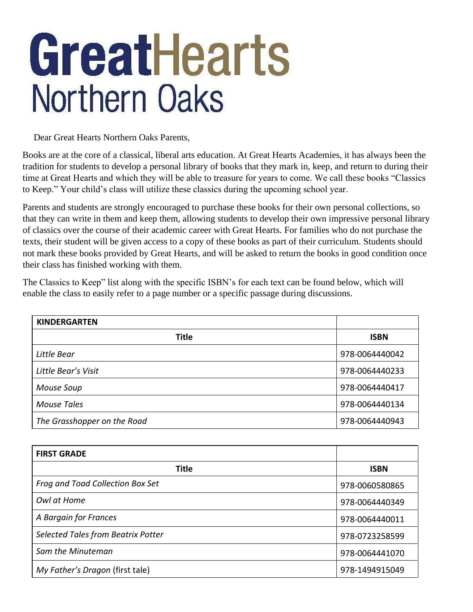## GreatHearts **Northern Oaks**

Dear Great Hearts Northern Oaks Parents,

Books are at the core of a classical, liberal arts education. At Great Hearts Academies, it has always been the tradition for students to develop a personal library of books that they mark in, keep, and return to during their time at Great Hearts and which they will be able to treasure for years to come. We call these books "Classics to Keep." Your child's class will utilize these classics during the upcoming school year.

Parents and students are strongly encouraged to purchase these books for their own personal collections, so that they can write in them and keep them, allowing students to develop their own impressive personal library of classics over the course of their academic career with Great Hearts. For families who do not purchase the texts, their student will be given access to a copy of these books as part of their curriculum. Students should not mark these books provided by Great Hearts, and will be asked to return the books in good condition once their class has finished working with them.

The Classics to Keep" list along with the specific ISBN's for each text can be found below, which will enable the class to easily refer to a page number or a specific passage during discussions.

| <b>KINDERGARTEN</b>         |                |
|-----------------------------|----------------|
| <b>Title</b>                | <b>ISBN</b>    |
| Little Bear                 | 978-0064440042 |
| Little Bear's Visit         | 978-0064440233 |
| Mouse Soup                  | 978-0064440417 |
| <b>Mouse Tales</b>          | 978-0064440134 |
| The Grasshopper on the Road | 978-0064440943 |

| <b>FIRST GRADE</b>                 |                |
|------------------------------------|----------------|
| <b>Title</b>                       | <b>ISBN</b>    |
| Frog and Toad Collection Box Set   | 978-0060580865 |
| Owl at Home                        | 978-0064440349 |
| A Bargain for Frances              | 978-0064440011 |
| Selected Tales from Beatrix Potter | 978-0723258599 |
| Sam the Minuteman                  | 978-0064441070 |
| My Father's Dragon (first tale)    | 978-1494915049 |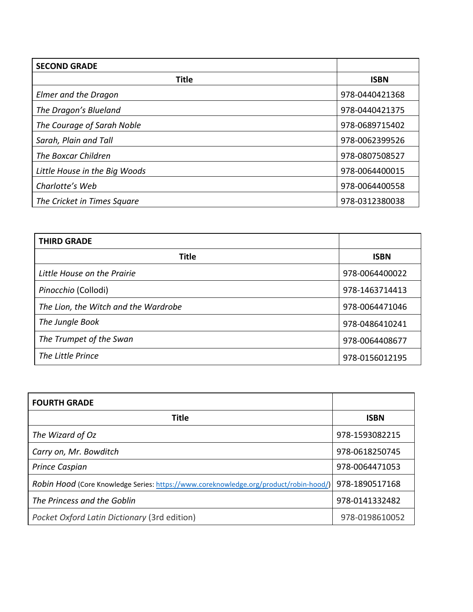| <b>SECOND GRADE</b>           |                |
|-------------------------------|----------------|
| <b>Title</b>                  | <b>ISBN</b>    |
| <b>Elmer and the Dragon</b>   | 978-0440421368 |
| The Dragon's Blueland         | 978-0440421375 |
| The Courage of Sarah Noble    | 978-0689715402 |
| Sarah, Plain and Tall         | 978-0062399526 |
| The Boxcar Children           | 978-0807508527 |
| Little House in the Big Woods | 978-0064400015 |
| Charlotte's Web               | 978-0064400558 |
| The Cricket in Times Square   | 978-0312380038 |

| <b>THIRD GRADE</b>                   |                |
|--------------------------------------|----------------|
| Title                                | <b>ISBN</b>    |
| Little House on the Prairie          | 978-0064400022 |
| Pinocchio (Collodi)                  | 978-1463714413 |
| The Lion, the Witch and the Wardrobe | 978-0064471046 |
| The Jungle Book                      | 978-0486410241 |
| The Trumpet of the Swan              | 978-0064408677 |
| The Little Prince                    | 978-0156012195 |

| <b>FOURTH GRADE</b>                                                                   |                |
|---------------------------------------------------------------------------------------|----------------|
| Title                                                                                 | <b>ISBN</b>    |
| The Wizard of Oz                                                                      | 978-1593082215 |
| Carry on, Mr. Bowditch                                                                | 978-0618250745 |
| Prince Caspian                                                                        | 978-0064471053 |
| Robin Hood (Core Knowledge Series: https://www.coreknowledge.org/product/robin-hood/) | 978-1890517168 |
| The Princess and the Goblin                                                           | 978-0141332482 |
| Pocket Oxford Latin Dictionary (3rd edition)                                          | 978-0198610052 |